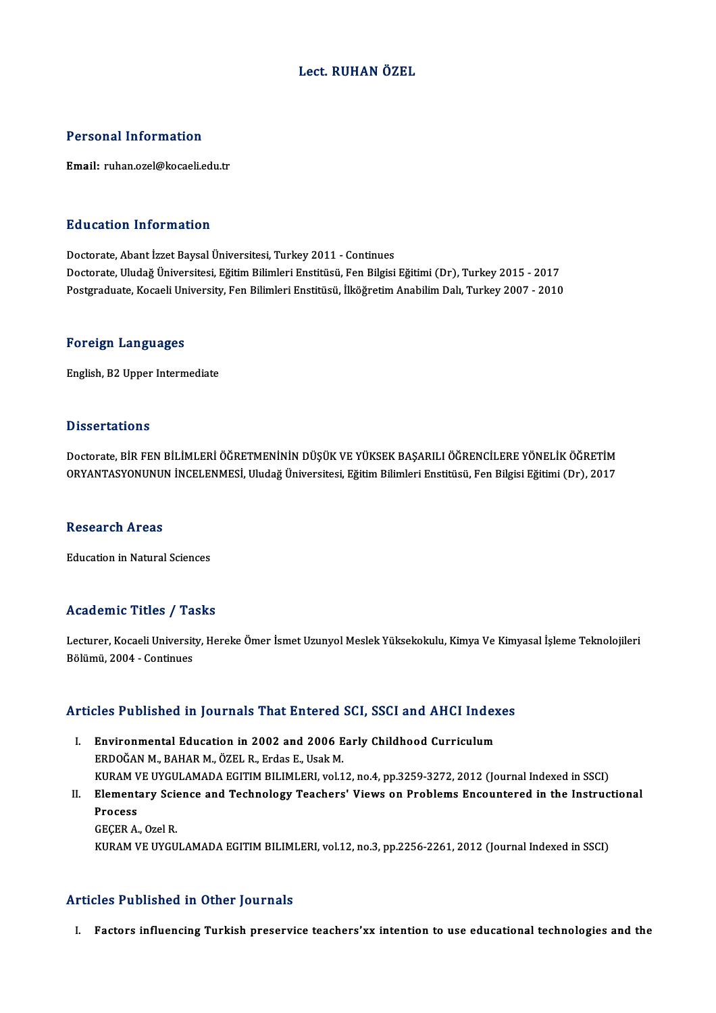# Lect. RUHAN ÖZEL

### Personal Information

Email: ruhan.ozel@kocaeli.edu.tr

### Education Information

Doctorate, Abant İzzet Baysal Üniversitesi, Turkey 2011 - Continues Doctorate, Uludağ Üniversitesi, Eğitim Bilimleri Enstitüsü, Fen Bilgisi Eğitimi (Dr), Turkey 2015 - 2017 Postgraduate, Kocaeli University, Fen Bilimleri Enstitüsü, İlköğretim Anabilim Dalı, Turkey 2007 - 2010

### Foreign Languages

English,B2Upper Intermediate

### **Dissertations**

Dissertations<br>Doctorate, BİR FEN BİLİMLERİ ÖĞRETMENİNİN DÜŞÜK VE YÜKSEK BAŞARILI ÖĞRENCİLERE YÖNELİK ÖĞRETİM<br>ORYANTASYONUNUN İNCELENMESİ, Uludağ Üniyarajtasi, Eğitim Bilimleri Enstitüsü, Esp Bilgisi Eğitimi (Dr), 2017 D'ISSOI tatıo'n.<br>Doctorate, BİR FEN BİLİMLERİ ÖĞRETMENİNİN DÜŞÜK VE YÜKSEK BAŞARILI ÖĞRENCİLERE YÖNELİK ÖĞRETİM<br>ORYANTASYONUNUN İNCELENMESİ, Uludağ Üniversitesi, Eğitim Bilimleri Enstitüsü, Fen Bilgisi Eğitimi (Dr), 2017 ORYANTASYONUNUN İNCELENMESİ, Uludağ Üniversitesi, Eğitim Bilimleri Enstitüsü, Fen Bilgisi Eğitimi (Dr), 2017<br>Research Areas

Education in Natural Sciences

### Academic Titles / Tasks

**Academic Titles / Tasks**<br>Lecturer, Kocaeli University, Hereke Ömer İsmet Uzunyol Meslek Yüksekokulu, Kimya Ve Kimyasal İşleme Teknolojileri<br>Rölümü 2004. Continuss 1904 - Helbo 7 Tal<br>Lecturer, Kocaeli Universit<br>Bölümü, 2004 - Continues

# Bolumu, 2004 - Conunues<br>Articles Published in Journals That Entered SCI, SSCI and AHCI Indexes

- rticles Published in Journals That Entered SCI, SSCI and AHCI Index<br>I. Environmental Education in 2002 and 2006 Early Childhood Curriculum<br>EPDOČANM PAHARM ÖZEL B. Erdas E. Haak M I. Environmental Education in 2002 and 2006 Early Childhood Curriculum<br>ERDOĞAN M., BAHAR M., ÖZEL R., Erdas E., Usak M. KURAM VE UYGULAMADA EGITIM BILIMLERI, vol.12, no.4, pp.3259-3272, 2012 (Journal Indexed in SSCI) ERDOĞAN M., BAHAR M., ÖZEL R., Erdas E., Usak M.<br>KURAM VE UYGULAMADA EGITIM BILIMLERI, vol.12, no.4, pp.3259-3272, 2012 (Journal Indexed in SSCI)<br>II. Elementary Science and Technology Teachers' Views on Problems Encountere
- KURAM V<br>Element<br>Process<br>CECER A Elementary Scie<br>Process<br>GEÇER A., Ozel R.<br>VURAM VE UVCU Process<br>GEÇER A., Ozel R.<br>KURAM VE UYGULAMADA EGITIM BILIMLERI, vol.12, no.3, pp.2256-2261, 2012 (Journal Indexed in SSCI)

### Articles Published in Other Journals

I. Factors influencing Turkish preservice teachers'xx intention to use educational technologies and the